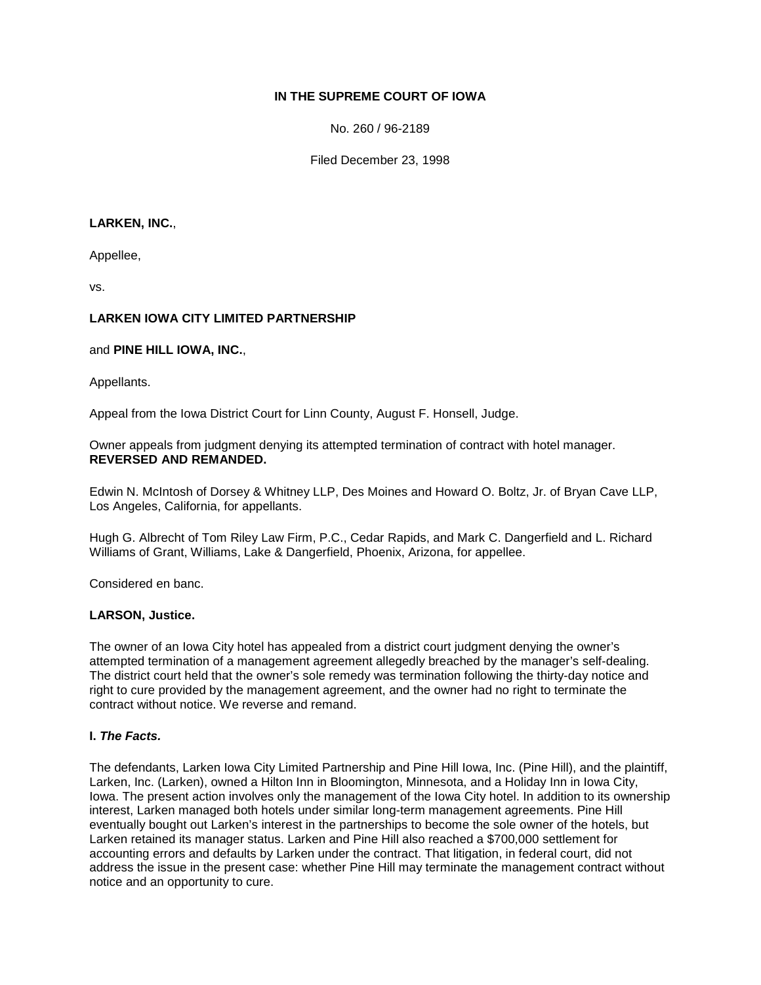# **IN THE SUPREME COURT OF IOWA**

No. 260 / 96-2189

Filed December 23, 1998

#### **LARKEN, INC.**,

Appellee,

vs.

## **LARKEN IOWA CITY LIMITED PARTNERSHIP**

#### and **PINE HILL IOWA, INC.**,

Appellants.

Appeal from the Iowa District Court for Linn County, August F. Honsell, Judge.

Owner appeals from judgment denying its attempted termination of contract with hotel manager. **REVERSED AND REMANDED.**

Edwin N. McIntosh of Dorsey & Whitney LLP, Des Moines and Howard O. Boltz, Jr. of Bryan Cave LLP, Los Angeles, California, for appellants.

Hugh G. Albrecht of Tom Riley Law Firm, P.C., Cedar Rapids, and Mark C. Dangerfield and L. Richard Williams of Grant, Williams, Lake & Dangerfield, Phoenix, Arizona, for appellee.

Considered en banc.

### **LARSON, Justice.**

The owner of an Iowa City hotel has appealed from a district court judgment denying the owner's attempted termination of a management agreement allegedly breached by the manager's self-dealing. The district court held that the owner's sole remedy was termination following the thirty-day notice and right to cure provided by the management agreement, and the owner had no right to terminate the contract without notice. We reverse and remand.

### **I.** *The Facts.*

The defendants, Larken Iowa City Limited Partnership and Pine Hill Iowa, Inc. (Pine Hill), and the plaintiff, Larken, Inc. (Larken), owned a Hilton Inn in Bloomington, Minnesota, and a Holiday Inn in Iowa City, Iowa. The present action involves only the management of the Iowa City hotel. In addition to its ownership interest, Larken managed both hotels under similar long-term management agreements. Pine Hill eventually bought out Larken's interest in the partnerships to become the sole owner of the hotels, but Larken retained its manager status. Larken and Pine Hill also reached a \$700,000 settlement for accounting errors and defaults by Larken under the contract. That litigation, in federal court, did not address the issue in the present case: whether Pine Hill may terminate the management contract without notice and an opportunity to cure.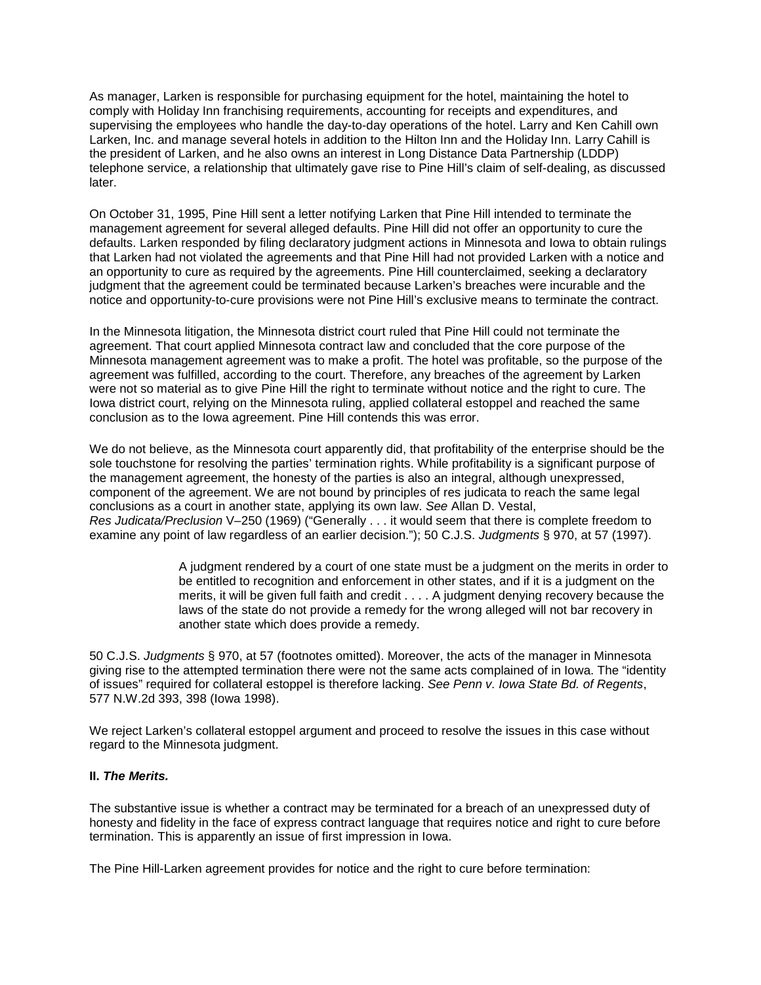As manager, Larken is responsible for purchasing equipment for the hotel, maintaining the hotel to comply with Holiday Inn franchising requirements, accounting for receipts and expenditures, and supervising the employees who handle the day-to-day operations of the hotel. Larry and Ken Cahill own Larken, Inc. and manage several hotels in addition to the Hilton Inn and the Holiday Inn. Larry Cahill is the president of Larken, and he also owns an interest in Long Distance Data Partnership (LDDP) telephone service, a relationship that ultimately gave rise to Pine Hill's claim of self-dealing, as discussed later.

On October 31, 1995, Pine Hill sent a letter notifying Larken that Pine Hill intended to terminate the management agreement for several alleged defaults. Pine Hill did not offer an opportunity to cure the defaults. Larken responded by filing declaratory judgment actions in Minnesota and Iowa to obtain rulings that Larken had not violated the agreements and that Pine Hill had not provided Larken with a notice and an opportunity to cure as required by the agreements. Pine Hill counterclaimed, seeking a declaratory judgment that the agreement could be terminated because Larken's breaches were incurable and the notice and opportunity-to-cure provisions were not Pine Hill's exclusive means to terminate the contract.

In the Minnesota litigation, the Minnesota district court ruled that Pine Hill could not terminate the agreement. That court applied Minnesota contract law and concluded that the core purpose of the Minnesota management agreement was to make a profit. The hotel was profitable, so the purpose of the agreement was fulfilled, according to the court. Therefore, any breaches of the agreement by Larken were not so material as to give Pine Hill the right to terminate without notice and the right to cure. The Iowa district court, relying on the Minnesota ruling, applied collateral estoppel and reached the same conclusion as to the Iowa agreement. Pine Hill contends this was error.

We do not believe, as the Minnesota court apparently did, that profitability of the enterprise should be the sole touchstone for resolving the parties' termination rights. While profitability is a significant purpose of the management agreement, the honesty of the parties is also an integral, although unexpressed, component of the agreement. We are not bound by principles of res judicata to reach the same legal conclusions as a court in another state, applying its own law. *See* Allan D. Vestal, *Res Judicata/Preclusion* V–250 (1969) ("Generally . . . it would seem that there is complete freedom to examine any point of law regardless of an earlier decision."); 50 C.J.S. *Judgments* § 970, at 57 (1997).

> A judgment rendered by a court of one state must be a judgment on the merits in order to be entitled to recognition and enforcement in other states, and if it is a judgment on the merits, it will be given full faith and credit . . . . A judgment denying recovery because the laws of the state do not provide a remedy for the wrong alleged will not bar recovery in another state which does provide a remedy.

50 C.J.S. *Judgments* § 970, at 57 (footnotes omitted). Moreover, the acts of the manager in Minnesota giving rise to the attempted termination there were not the same acts complained of in Iowa. The "identity of issues" required for collateral estoppel is therefore lacking. *See Penn v. Iowa State Bd. of Regents*, 577 N.W.2d 393, 398 (Iowa 1998).

We reject Larken's collateral estoppel argument and proceed to resolve the issues in this case without regard to the Minnesota judgment.

### **II.** *The Merits.*

The substantive issue is whether a contract may be terminated for a breach of an unexpressed duty of honesty and fidelity in the face of express contract language that requires notice and right to cure before termination. This is apparently an issue of first impression in Iowa.

The Pine Hill-Larken agreement provides for notice and the right to cure before termination: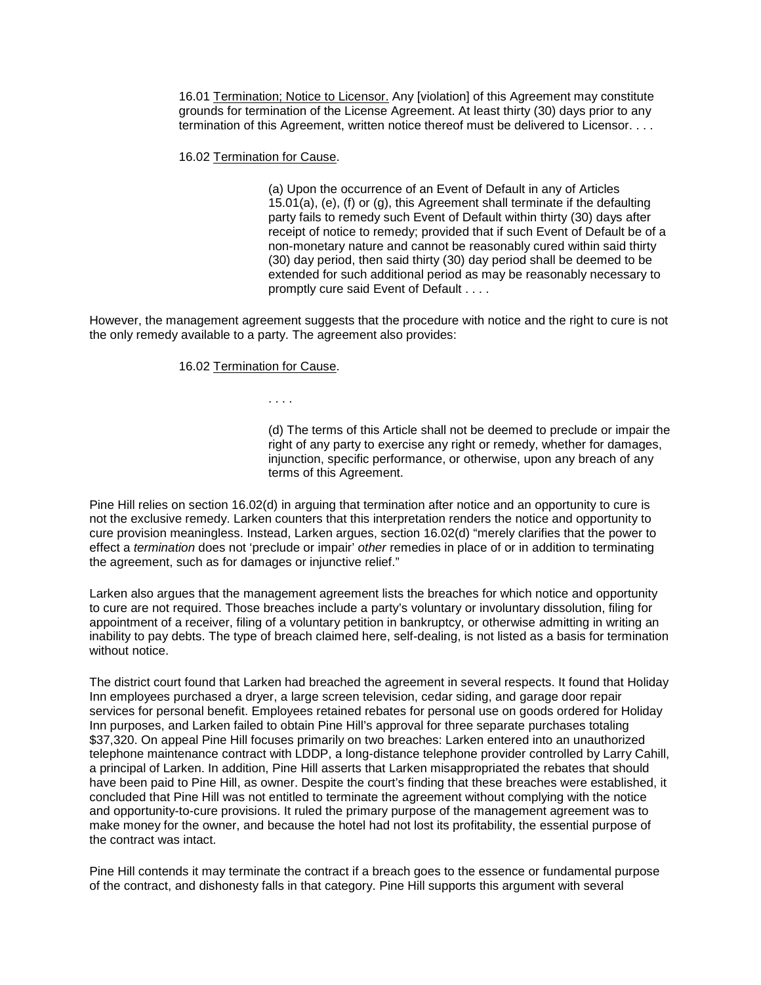16.01 Termination; Notice to Licensor. Any [violation] of this Agreement may constitute grounds for termination of the License Agreement. At least thirty (30) days prior to any termination of this Agreement, written notice thereof must be delivered to Licensor. . . .

16.02 Termination for Cause.

(a) Upon the occurrence of an Event of Default in any of Articles 15.01(a), (e), (f) or (g), this Agreement shall terminate if the defaulting party fails to remedy such Event of Default within thirty (30) days after receipt of notice to remedy; provided that if such Event of Default be of a non-monetary nature and cannot be reasonably cured within said thirty (30) day period, then said thirty (30) day period shall be deemed to be extended for such additional period as may be reasonably necessary to promptly cure said Event of Default . . . .

However, the management agreement suggests that the procedure with notice and the right to cure is not the only remedy available to a party. The agreement also provides:

#### 16.02 Termination for Cause.

. . . .

(d) The terms of this Article shall not be deemed to preclude or impair the right of any party to exercise any right or remedy, whether for damages, injunction, specific performance, or otherwise, upon any breach of any terms of this Agreement.

Pine Hill relies on section 16.02(d) in arguing that termination after notice and an opportunity to cure is not the exclusive remedy. Larken counters that this interpretation renders the notice and opportunity to cure provision meaningless. Instead, Larken argues, section 16.02(d) "merely clarifies that the power to effect a *termination* does not 'preclude or impair' *other* remedies in place of or in addition to terminating the agreement, such as for damages or injunctive relief."

Larken also argues that the management agreement lists the breaches for which notice and opportunity to cure are not required. Those breaches include a party's voluntary or involuntary dissolution, filing for appointment of a receiver, filing of a voluntary petition in bankruptcy, or otherwise admitting in writing an inability to pay debts. The type of breach claimed here, self-dealing, is not listed as a basis for termination without notice.

The district court found that Larken had breached the agreement in several respects. It found that Holiday Inn employees purchased a dryer, a large screen television, cedar siding, and garage door repair services for personal benefit. Employees retained rebates for personal use on goods ordered for Holiday Inn purposes, and Larken failed to obtain Pine Hill's approval for three separate purchases totaling \$37,320. On appeal Pine Hill focuses primarily on two breaches: Larken entered into an unauthorized telephone maintenance contract with LDDP, a long-distance telephone provider controlled by Larry Cahill, a principal of Larken. In addition, Pine Hill asserts that Larken misappropriated the rebates that should have been paid to Pine Hill, as owner. Despite the court's finding that these breaches were established, it concluded that Pine Hill was not entitled to terminate the agreement without complying with the notice and opportunity-to-cure provisions. It ruled the primary purpose of the management agreement was to make money for the owner, and because the hotel had not lost its profitability, the essential purpose of the contract was intact.

Pine Hill contends it may terminate the contract if a breach goes to the essence or fundamental purpose of the contract, and dishonesty falls in that category. Pine Hill supports this argument with several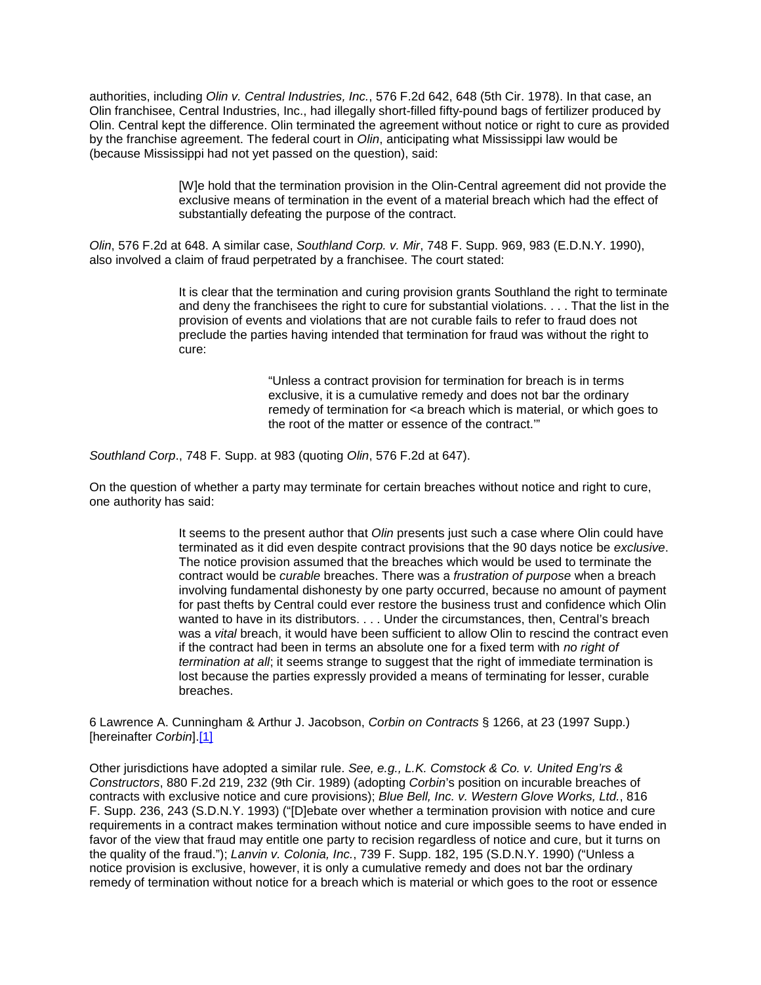authorities, including *Olin v. Central Industries, Inc.*, 576 F.2d 642, 648 (5th Cir. 1978). In that case, an Olin franchisee, Central Industries, Inc., had illegally short-filled fifty-pound bags of fertilizer produced by Olin. Central kept the difference. Olin terminated the agreement without notice or right to cure as provided by the franchise agreement. The federal court in *Olin*, anticipating what Mississippi law would be (because Mississippi had not yet passed on the question), said:

> [W]e hold that the termination provision in the Olin-Central agreement did not provide the exclusive means of termination in the event of a material breach which had the effect of substantially defeating the purpose of the contract.

*Olin*, 576 F.2d at 648. A similar case, *Southland Corp. v. Mir*, 748 F. Supp. 969, 983 (E.D.N.Y. 1990), also involved a claim of fraud perpetrated by a franchisee. The court stated:

> It is clear that the termination and curing provision grants Southland the right to terminate and deny the franchisees the right to cure for substantial violations. . . . That the list in the provision of events and violations that are not curable fails to refer to fraud does not preclude the parties having intended that termination for fraud was without the right to cure:

> > "Unless a contract provision for termination for breach is in terms exclusive, it is a cumulative remedy and does not bar the ordinary remedy of termination for <a breach which is material, or which goes to the root of the matter or essence of the contract.'"

*Southland Corp*., 748 F. Supp. at 983 (quoting *Olin*, 576 F.2d at 647).

On the question of whether a party may terminate for certain breaches without notice and right to cure, one authority has said:

> It seems to the present author that *Olin* presents just such a case where Olin could have terminated as it did even despite contract provisions that the 90 days notice be *exclusive*. The notice provision assumed that the breaches which would be used to terminate the contract would be *curable* breaches. There was a *frustration of purpose* when a breach involving fundamental dishonesty by one party occurred, because no amount of payment for past thefts by Central could ever restore the business trust and confidence which Olin wanted to have in its distributors. . . . Under the circumstances, then, Central's breach was a *vital* breach, it would have been sufficient to allow Olin to rescind the contract even if the contract had been in terms an absolute one for a fixed term with *no right of termination at all*; it seems strange to suggest that the right of immediate termination is lost because the parties expressly provided a means of terminating for lesser, curable breaches.

6 Lawrence A. Cunningham & Arthur J. Jacobson, *Corbin on Contracts* § 1266, at 23 (1997 Supp.) [hereinafter *Corbin*][.\[1\]](http://www.iowacourts.gov/About_the_Courts/Supreme_Court/Supreme_Court_Opinions/Recent_Opinions/19981223/96-2189.asp?Printable=true#fn1)

Other jurisdictions have adopted a similar rule. *See, e.g., L.K. Comstock & Co. v. United Eng'rs & Constructors*, 880 F.2d 219, 232 (9th Cir. 1989) (adopting *Corbin*'s position on incurable breaches of contracts with exclusive notice and cure provisions); *Blue Bell, Inc. v. Western Glove Works, Ltd.*, 816 F. Supp. 236, 243 (S.D.N.Y. 1993) ("[D]ebate over whether a termination provision with notice and cure requirements in a contract makes termination without notice and cure impossible seems to have ended in favor of the view that fraud may entitle one party to recision regardless of notice and cure, but it turns on the quality of the fraud."); *Lanvin v. Colonia, Inc.*, 739 F. Supp. 182, 195 (S.D.N.Y. 1990) ("Unless a notice provision is exclusive, however, it is only a cumulative remedy and does not bar the ordinary remedy of termination without notice for a breach which is material or which goes to the root or essence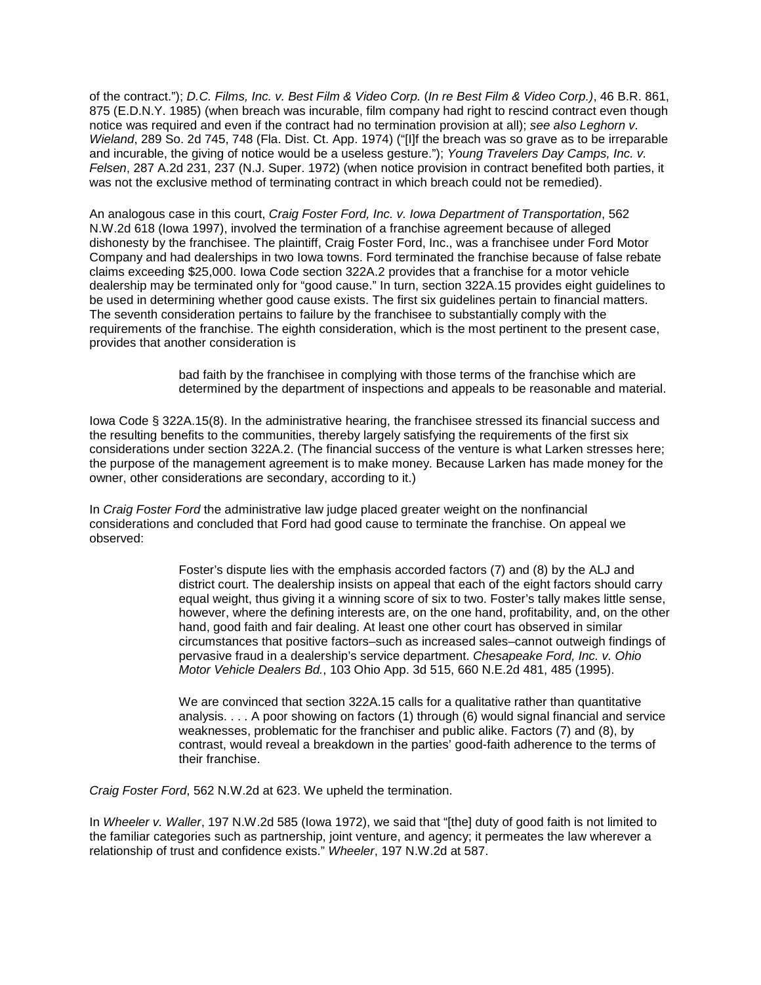of the contract."); *D.C. Films, Inc. v. Best Film & Video Corp.* (*In re Best Film & Video Corp.)*, 46 B.R. 861, 875 (E.D.N.Y. 1985) (when breach was incurable, film company had right to rescind contract even though notice was required and even if the contract had no termination provision at all); *see also Leghorn v. Wieland*, 289 So. 2d 745, 748 (Fla. Dist. Ct. App. 1974) ("[I]f the breach was so grave as to be irreparable and incurable, the giving of notice would be a useless gesture."); *Young Travelers Day Camps, Inc. v. Felsen*, 287 A.2d 231, 237 (N.J. Super. 1972) (when notice provision in contract benefited both parties, it was not the exclusive method of terminating contract in which breach could not be remedied).

An analogous case in this court, *Craig Foster Ford, Inc. v. Iowa Department of Transportation*, 562 N.W.2d 618 (Iowa 1997), involved the termination of a franchise agreement because of alleged dishonesty by the franchisee. The plaintiff, Craig Foster Ford, Inc., was a franchisee under Ford Motor Company and had dealerships in two Iowa towns. Ford terminated the franchise because of false rebate claims exceeding \$25,000. Iowa Code section 322A.2 provides that a franchise for a motor vehicle dealership may be terminated only for "good cause." In turn, section 322A.15 provides eight guidelines to be used in determining whether good cause exists. The first six guidelines pertain to financial matters. The seventh consideration pertains to failure by the franchisee to substantially comply with the requirements of the franchise. The eighth consideration, which is the most pertinent to the present case, provides that another consideration is

> bad faith by the franchisee in complying with those terms of the franchise which are determined by the department of inspections and appeals to be reasonable and material.

Iowa Code § 322A.15(8). In the administrative hearing, the franchisee stressed its financial success and the resulting benefits to the communities, thereby largely satisfying the requirements of the first six considerations under section 322A.2. (The financial success of the venture is what Larken stresses here; the purpose of the management agreement is to make money. Because Larken has made money for the owner, other considerations are secondary, according to it.)

In *Craig Foster Ford* the administrative law judge placed greater weight on the nonfinancial considerations and concluded that Ford had good cause to terminate the franchise. On appeal we observed:

> Foster's dispute lies with the emphasis accorded factors (7) and (8) by the ALJ and district court. The dealership insists on appeal that each of the eight factors should carry equal weight, thus giving it a winning score of six to two. Foster's tally makes little sense, however, where the defining interests are, on the one hand, profitability, and, on the other hand, good faith and fair dealing. At least one other court has observed in similar circumstances that positive factors–such as increased sales–cannot outweigh findings of pervasive fraud in a dealership's service department. *Chesapeake Ford, Inc. v. Ohio Motor Vehicle Dealers Bd.*, 103 Ohio App. 3d 515, 660 N.E.2d 481, 485 (1995).

> We are convinced that section 322A.15 calls for a qualitative rather than quantitative analysis. . . . A poor showing on factors (1) through (6) would signal financial and service weaknesses, problematic for the franchiser and public alike. Factors (7) and (8), by contrast, would reveal a breakdown in the parties' good-faith adherence to the terms of their franchise.

*Craig Foster Ford*, 562 N.W.2d at 623. We upheld the termination.

In *Wheeler v. Waller*, 197 N.W.2d 585 (Iowa 1972), we said that "[the] duty of good faith is not limited to the familiar categories such as partnership, joint venture, and agency; it permeates the law wherever a relationship of trust and confidence exists." *Wheeler*, 197 N.W.2d at 587.